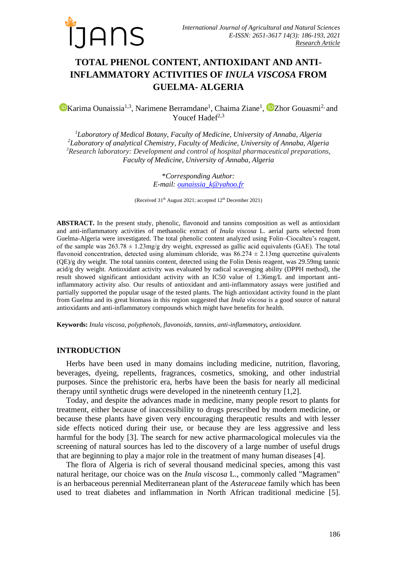

# **TOTAL PHENOL CONTENT, ANTIOXIDANT AND ANTI-INFLAMMATORY ACTIVITIES OF** *INULA VISCOSA* **FROM GUELMA- ALGERIA**

[K](https://orcid.org/0000-0003-3134-3674)arima Ounaissia<sup>1,3</sup>, Narimene Berramdane<sup>1</sup>, Chaima [Z](https://orcid.org/0000-0002-5809-4172)iane<sup>1</sup>, <sup>1</sup> Zhor Gouasmi<sup>2</sup> and Youcef Hadef $2,3$ 

*Laboratory of Medical Botany, Faculty of Medicine, University of Annaba, Algeria Laboratory of analytical Chemistry, Faculty of Medicine, University of Annaba, Algeria Research laboratory: Development and control of hospital pharmaceutical preparations, Faculty of Medicine, University of Annaba, Algeria*

> \**Corresponding Author: E-mail: [ounaissia\\_k@yahoo.fr](mailto:ounaissia_k@yahoo.fr)*

(Received 31<sup>th</sup> August 2021; accepted 12<sup>th</sup> December 2021)

**ABSTRACT.** In the present study, phenolic, flavonoid and tannins composition as well as antioxidant and anti-inflammatory activities of methanolic extract of *Inula viscosa* L*.* aerial parts selected from Guelma-Algeria were investigated. The total phenolic content analyzed using Folin–Ciocalteu's reagent, of the sample was  $263.78 \pm 1.23$  mg/g dry weight, expressed as gallic acid equivalents (GAE). The total flavonoid concentration, detected using aluminum chloride, was  $86.274 \pm 2.13$ mg quercetine quivalents (QE)/g dry weight. The total tannins content, detected using the Folin Denis reagent, was 29.59mg tannic acid/g dry weight. Antioxidant activity was evaluated by radical scavenging ability (DPPH method), the result showed significant antioxidant activity with an IC50 value of 1.36mg/L and important antiinflammatory activity also. Our results of antioxidant and anti-inflammatory assays were justified and partially supported the popular usage of the tested plants. The high antioxidant activity found in the plant from Guelma and its great biomass in this region suggested that *Inula viscosa* is a good source of natural antioxidants and anti-inflammatory compounds which might have benefits for health.

**Keywords:** *Inula viscosa, polyphenols, flavonoids, tannins, anti-inflammatory, antioxidant.*

#### **INTRODUCTION**

Herbs have been used in many domains including medicine, nutrition, flavoring, beverages, dyeing, repellents, fragrances, cosmetics, smoking, and other industrial purposes. Since the prehistoric era, herbs have been the basis for nearly all medicinal therapy until synthetic drugs were developed in the nineteenth century [1,2].

Today, and despite the advances made in medicine, many people resort to plants for treatment, either because of inaccessibility to drugs prescribed by modern medicine, or because these plants have given very encouraging therapeutic results and with lesser side effects noticed during their use, or because they are less aggressive and less harmful for the body [3]. The search for new active pharmacological molecules via the screening of natural sources has led to the discovery of a large number of useful drugs that are beginning to play a major role in the treatment of many human diseases [4].

The flora of Algeria is rich of several thousand medicinal species, among this vast natural heritage, our choice was on the *Inula viscosa* L., commonly called "Magramen" is an herbaceous perennial Mediterranean plant of the *Asteraceae* family which has been used to treat diabetes and inflammation in North African traditional medicine [5].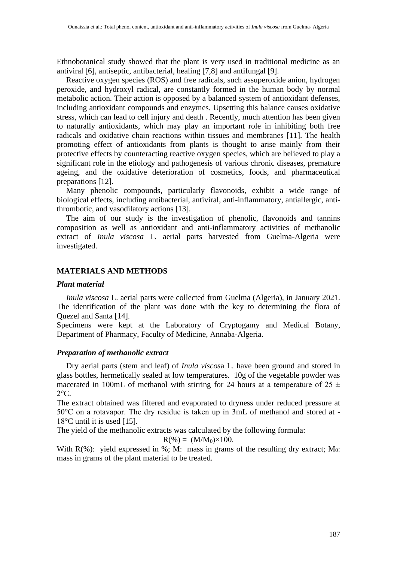Ethnobotanical study showed that the plant is very used in traditional medicine as an antiviral [6], antiseptic, antibacterial, healing [7,8] and antifungal [9].

Reactive oxygen species (ROS) and free radicals, such assuperoxide anion, hydrogen peroxide, and hydroxyl radical, are constantly formed in the human body by normal metabolic action. Their action is opposed by a balanced system of antioxidant defenses, including antioxidant compounds and enzymes. Upsetting this balance causes oxidative stress, which can lead to cell injury and death . Recently, much attention has been given to naturally antioxidants, which may play an important role in inhibiting both free radicals and oxidative chain reactions within tissues and membranes [11]. The health promoting effect of antioxidants from plants is thought to arise mainly from their protective effects by counteracting reactive oxygen species, which are believed to play a significant role in the etiology and pathogenesis of various chronic diseases, premature ageing, and the oxidative deterioration of cosmetics, foods, and pharmaceutical preparations [12].

Many phenolic compounds, particularly flavonoids, exhibit a wide range of biological effects, including antibacterial, antiviral, anti-inflammatory, antiallergic, antithrombotic, and vasodilatory actions [13].

The aim of our study is the investigation of phenolic, flavonoids and tannins composition as well as antioxidant and anti-inflammatory activities of methanolic extract of *Inula viscosa* L*.* aerial parts harvested from Guelma-Algeria were investigated.

# **MATERIALS AND METHODS**

# *Plant material*

*Inula viscosa* L. aerial parts were collected from Guelma (Algeria), in January 2021. The identification of the plant was done with the key to determining the flora of Quezel and Santa [14].

Specimens were kept at the Laboratory of Cryptogamy and Medical Botany, Department of Pharmacy, Faculty of Medicine, Annaba-Algeria.

# *Preparation of methanolic extract*

Dry aerial parts (stem and leaf) of *Inula viscos*a L. have been ground and stored in glass bottles, hermetically sealed at low temperatures. 10g of the vegetable powder was macerated in 100mL of methanol with stirring for 24 hours at a temperature of  $25 \pm$  $2^{\circ}C$ .

The extract obtained was filtered and evaporated to dryness under reduced pressure at 50°C on a rotavapor. The dry residue is taken up in 3mL of methanol and stored at - 18°C until it is used [15].

The yield of the methanolic extracts was calculated by the following formula:

$$
R(\%)= (M/M_0) \times 100.
$$

With  $R(\%)$ : yield expressed in %; M: mass in grams of the resulting dry extract; M<sub>0</sub>: mass in grams of the plant material to be treated.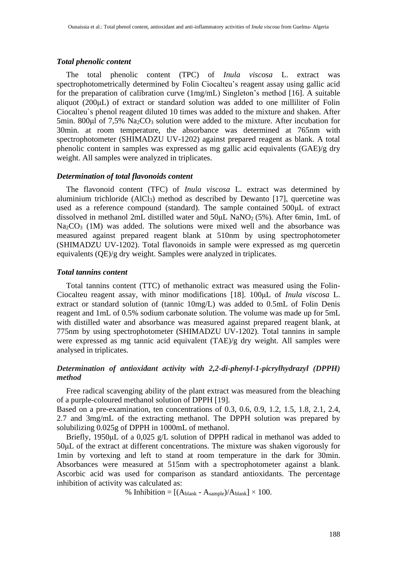# *Total phenolic content*

The total phenolic content (TPC) of *Inula viscosa* L. extract was spectrophotometrically determined by Folin Ciocalteu's reagent assay using gallic acid for the preparation of calibration curve (1mg/mL) Singleton's method [16]. A suitable aliquot (200μL) of extract or standard solution was added to one milliliter of Folin Ciocalteu`s phenol reagent diluted 10 times was added to the mixture and shaken. After 5min. 800μl of 7,5% Na2CO<sup>3</sup> solution were added to the mixture. After incubation for 30min. at room temperature, the absorbance was determined at 765nm with spectrophotometer (SHIMADZU UV-1202) against prepared reagent as blank. A total phenolic content in samples was expressed as mg gallic acid equivalents (GAE)/g dry weight. All samples were analyzed in triplicates.

# *Determination of total flavonoids content*

The flavonoid content (TFC) of *Inula viscosa* L. extract was determined by aluminium trichloride  $(AICI<sub>3</sub>)$  method as described by Dewanto [17], quercetine was used as a reference compound (standard). The sample contained 500μL of extract dissolved in methanol 2mL distilled water and 50μL NaNO2 (5%). After 6min, 1mL of  $Na<sub>2</sub>CO<sub>3</sub>$  (1M) was added. The solutions were mixed well and the absorbance was measured against prepared reagent blank at 510nm by using spectrophotometer (SHIMADZU UV-1202). Total flavonoids in sample were expressed as mg quercetin equivalents (QE)/g dry weight. Samples were analyzed in triplicates.

#### *Total tannins content*

Total tannins content (TTC) of methanolic extract was measured using the Folin-Ciocalteu reagent assay, with minor modifications [18]. 100μL of *Inula viscosa* L. extract or standard solution of (tannic 10mg/L) was added to 0.5mL of Folin Denis reagent and 1mL of 0.5% sodium carbonate solution. The volume was made up for 5mL with distilled water and absorbance was measured against prepared reagent blank, at 775nm by using spectrophotometer (SHIMADZU UV-1202). Total tannins in sample were expressed as mg tannic acid equivalent (TAE)/g dry weight. All samples were analysed in triplicates.

# *Determination of antioxidant activity with 2,2-di-phenyl-1-picrylhydrazyl (DPPH) method*

Free radical scavenging ability of the plant extract was measured from the bleaching of a purple-coloured methanol solution of DPPH [19].

Based on a pre-examination, ten concentrations of 0.3, 0.6, 0.9, 1.2, 1.5, 1.8, 2.1, 2.4, 2.7 and 3mg/mL of the extracting methanol. The DPPH solution was prepared by solubilizing 0.025g of DPPH in 1000mL of methanol.

Briefly, 1950μL of a 0,025 g/L solution of DPPH radical in methanol was added to 50μL of the extract at different concentrations. The mixture was shaken vigorously for 1min by vortexing and left to stand at room temperature in the dark for 30min. Absorbances were measured at 515nm with a spectrophotometer against a blank. Ascorbic acid was used for comparison as standard antioxidants. The percentage inhibition of activity was calculated as:

% Inhibition =  $[(A_{blank} - A_{sample})/A_{blank}] \times 100$ .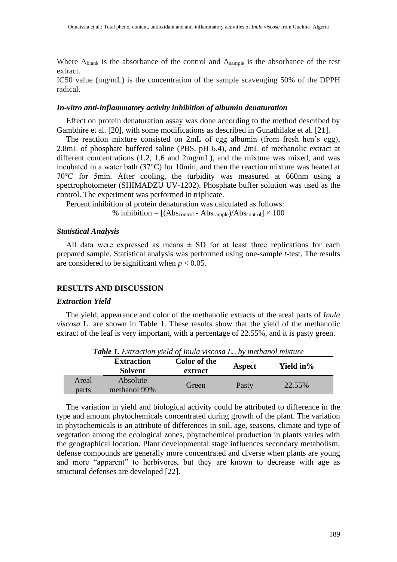Where Ablank is the absorbance of the control and Asample is the absorbance of the test extract.

IC50 value (mg/mL) is the concentration of the sample scavenging 50% of the DPPH radical.

### *In-vitro anti-inflammatory activity inhibition of albumin denaturation*

Effect on protein denaturation assay was done according to the method described by Gambhire et al. [20], with some modifications as described in Gunathilake et al. [21].

The reaction mixture consisted on 2mL of egg albumin (from fresh hen's egg), 2.8mL of phosphate buffered saline (PBS, pH 6.4), and 2mL of methanolic extract at different concentrations (1.2, 1.6 and 2mg/mL), and the mixture was mixed, and was incubated in a water bath (37°C) for 10min, and then the reaction mixture was heated at 70°C for 5min. After cooling, the turbidity was measured at 660nm using a spectrophotometer (SHIMADZU UV-1202). Phosphate buffer solution was used as the control. The experiment was performed in triplicate.

Percent inhibition of protein denaturation was calculated as follows:

% inhibition =  $[(Abs_{control} - Abs_{sample})/Abs_{control}] \times 100$ 

#### *Statistical Analysis*

All data were expressed as means  $\pm$  SD for at least three replications for each prepared sample. Statistical analysis was performed using one-sample *t*-test. The results are considered to be significant when  $p < 0.05$ .

# **RESULTS AND DISCUSSION**

#### *Extraction Yield*

The yield, appearance and color of the methanolic extracts of the areal parts of *Inula viscosa* L. are shown in Table 1. These results show that the yield of the methanolic extract of the leaf is very important, with a percentage of 22.55%, and it is pasty green.

|                | <b>Extraction</b><br><b>Solvent</b> | <b>Color of the</b><br>extract | Aspect | Yield in% |  |
|----------------|-------------------------------------|--------------------------------|--------|-----------|--|
| Areal<br>parts | Absolute<br>methanol 99%            | Green                          | Pasty  | 22.55%    |  |

*Table 1. Extraction yield of Inula viscosa L., by methanol mixture*

The variation in yield and biological activity could be attributed to difference in the type and amount phytochemicals concentrated during growth of the plant. The variation in phytochemicals is an attribute of differences in soil, age, seasons, climate and type of vegetation among the ecological zones, phytochemical production in plants varies with the geographical location. Plant developmental stage influences secondary metabolism; defense compounds are generally more concentrated and diverse when plants are young and more "apparent" to herbivores, but they are known to decrease with age as structural defenses are developed [22].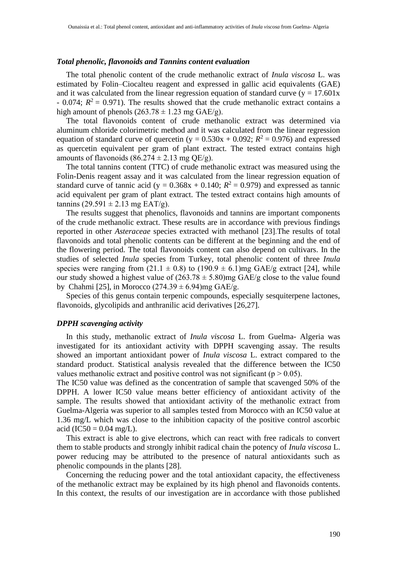# *Total phenolic, flavonoids and Tannins content evaluation*

The total phenolic content of the crude methanolic extract of *Inula viscosa* L. was estimated by Folin–Ciocalteu reagent and expressed in gallic acid equivalents (GAE) and it was calculated from the linear regression equation of standard curve ( $y = 17.601x$ )  $-$  0.074;  $R^2 = 0.971$ ). The results showed that the crude methanolic extract contains a high amount of phenols  $(263.78 \pm 1.23 \text{ mg} \text{ GAE/g}).$ 

The total flavonoids content of crude methanolic extract was determined via aluminum chloride colorimetric method and it was calculated from the linear regression equation of standard curve of quercetin ( $y = 0.530x + 0.092$ ;  $R^2 = 0.976$ ) and expressed as quercetin equivalent per gram of plant extract. The tested extract contains high amounts of flavonoids  $(86.274 \pm 2.13 \text{ mg} \text{ OE/g}).$ 

The total tannins content (TTC) of crude methanolic extract was measured using the Folin-Denis reagent assay and it was calculated from the linear regression equation of standard curve of tannic acid (y =  $0.368x + 0.140$ ;  $R^2 = 0.979$ ) and expressed as tannic acid equivalent per gram of plant extract. The tested extract contains high amounts of tannins  $(29.591 \pm 2.13 \text{ mg } EAT/g)$ .

The results suggest that phenolics, flavonoids and tannins are important components of the crude methanolic extract. These results are in accordance with previous findings reported in other *Asteraceae* species extracted with methanol [23].The results of total flavonoids and total phenolic contents can be different at the beginning and the end of the flowering period. The total flavonoids content can also depend on cultivars. In the studies of selected *Inula* species from Turkey, total phenolic content of three *Inula*  species were ranging from  $(21.1 \pm 0.8)$  to  $(190.9 \pm 6.1)$ mg GAE/g extract [24], while our study showed a highest value of  $(263.78 \pm 5.80)$ mg GAE/g close to the value found by Chahmi [25], in Morocco (274.39  $\pm$  6.94)mg GAE/g.

Species of this genus contain terpenic compounds, especially sesquiterpene lactones, flavonoids, glycolipids and anthranilic acid derivatives [26,27].

#### *DPPH scavenging activity*

In this study, methanolic extract of *Inula viscosa* L. from Guelma- Algeria was investigated for its antioxidant activity with DPPH scavenging assay. The results showed an important antioxidant power of *Inula viscosa* L. extract compared to the standard product. Statistical analysis revealed that the difference between the IC50 values methanolic extract and positive control was not significant ( $p > 0.05$ ).

The IC50 value was defined as the concentration of sample that scavenged 50% of the DPPH. A lower IC50 value means better efficiency of antioxidant activity of the sample. The results showed that antioxidant activity of the methanolic extract from Guelma-Algeria was superior to all samples tested from Morocco with an IC50 value at 1.36 mg/L which was close to the inhibition capacity of the positive control ascorbic acid (IC50 =  $0.04$  mg/L).

This extract is able to give electrons, which can react with free radicals to convert them to stable products and strongly inhibit radical chain the potency of *Inula viscosa* L. power reducing may be attributed to the presence of natural antioxidants such as phenolic compounds in the plants [28].

Concerning the reducing power and the total antioxidant capacity, the effectiveness of the methanolic extract may be explained by its high phenol and flavonoids contents. In this context, the results of our investigation are in accordance with those published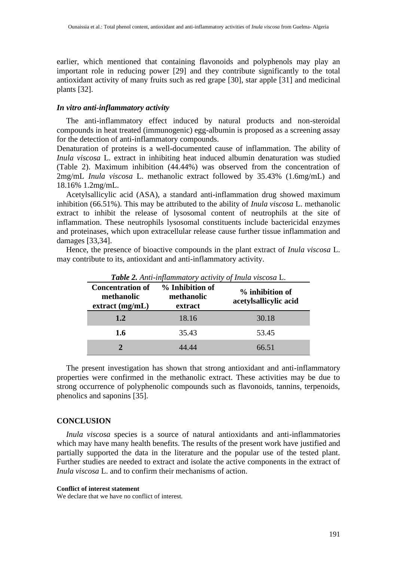earlier, which mentioned that containing flavonoids and polyphenols may play an important role in reducing power [29] and they contribute significantly to the total antioxidant activity of many fruits such as red grape [30], star apple [31] and medicinal plants [32].

# *In vitro anti-inflammatory activity*

The anti-inflammatory effect induced by natural products and non-steroidal compounds in heat treated (immunogenic) egg-albumin is proposed as a screening assay for the detection of anti-inflammatory compounds.

Denaturation of proteins is a well-documented cause of inflammation. The ability of *Inula viscosa* L. extract in inhibiting heat induced albumin denaturation was studied (Table 2). Maximum inhibition (44.44%) was observed from the concentration of 2mg/mL *Inula viscosa* L. methanolic extract followed by 35.43% (1.6mg/mL) and 18.16% 1.2mg/mL.

Acetylsallicylic acid (ASA), a standard anti-inflammation drug showed maximum inhibition (66.51%). This may be attributed to the ability of *Inula viscosa* L. methanolic extract to inhibit the release of lysosomal content of neutrophils at the site of inflammation. These neutrophils lysosomal constituents include bactericidal enzymes and proteinases, which upon extracellular release cause further tissue inflammation and damages [33,34].

| <b>Table 2.</b> Anti-inflammatory activity of Inula viscosa L. |                                          |                                          |  |  |  |  |
|----------------------------------------------------------------|------------------------------------------|------------------------------------------|--|--|--|--|
| <b>Concentration of</b><br>methanolic<br>$extract$ (mg/mL)     | % Inhibition of<br>methanolic<br>extract | % inhibition of<br>acetylsallicylic acid |  |  |  |  |
| 1.2                                                            | 18.16                                    | 30.18                                    |  |  |  |  |
| 1.6                                                            | 35.43                                    | 53.45                                    |  |  |  |  |
|                                                                |                                          | 66 51                                    |  |  |  |  |

Hence, the presence of bioactive compounds in the plant extract of *Inula viscosa* L. may contribute to its, antioxidant and anti-inflammatory activity.

The present investigation has shown that strong antioxidant and anti-inflammatory properties were confirmed in the methanolic extract. These activities may be due to strong occurrence of polyphenolic compounds such as flavonoids, tannins, terpenoids, phenolics and saponins [35].

# **CONCLUSION**

*Inula viscosa* species is a source of natural antioxidants and anti-inflammatories which may have many health benefits. The results of the present work have justified and partially supported the data in the literature and the popular use of the tested plant. Further studies are needed to extract and isolate the active components in the extract of *Inula viscosa* L. and to confirm their mechanisms of action.

#### **Conflict of interest statement**

We declare that we have no conflict of interest.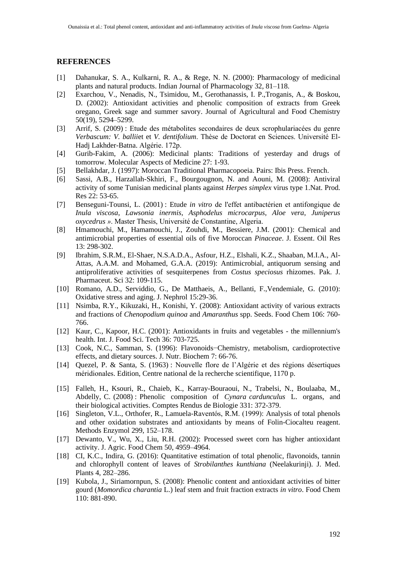# **REFERENCES**

- [1] Dahanukar, S. A., Kulkarni, R. A., & Rege, N. N. (2000): Pharmacology of medicinal plants and natural products. Indian Journal of Pharmacology 32, 81–118.
- [2] Exarchou, V., Nenadis, N., Tsimidou, M., Gerothanassis, I. P.,Troganis, A., & Boskou, D. (2002): Antioxidant activities and phenolic composition of extracts from Greek oregano, Greek sage and summer savory. Journal of Agricultural and Food Chemistry 50(19), 5294–5299.
- [3] Arrif, S. (2009) : Etude des métabolites secondaires de deux scrophulariacées du genre *Verbascum: V. ballii*et et *V. dentifolium*. Thèse de Doctorat en Sciences. Université El-Hadj Lakhder-Batna. Algérie. 172p.
- [4] Gurib-Fakim, A. (2006): Medicinal plants: Traditions of yesterday and drugs of tomorrow. Molecular Aspects of Medicine 27: 1-93.
- [5] Bellakhdar, J. (1997): Moroccan Traditional Pharmacopoeia. Pairs: Ibis Press. French.
- [6] Sassi, A.B., Harzallah-Skhiri, F., Bourgougnon, N. and Aouni, M. (2008): Antiviral activity of some Tunisian medicinal plants against *Herpes simplex* virus type 1.Nat. Prod. Res 22: 53-65.
- [7] Benseguni-Tounsi, L. (2001) : Etude *in vitro* de l'effet antibactérien et antifongique de *Inula viscosa*, *Lawsonia inermis*, *Asphodelus microcarpus*, *Aloe vera*, *Juniperus oxycedrus »*. Master Thesis, Université de Constantine, Algeria.
- [8] Hmamouchi, M., Hamamouchi, J., Zouhdi, M., Bessiere, J.M. (2001): Chemical and antimicrobial properties of essential oils of five Moroccan *Pinaceae*. J. Essent. Oil Res 13: 298-302.
- [9] Ibrahim, S.R.M., El-Shaer, N.S.A.D.A., Asfour, H.Z., Elshali, K.Z., Shaaban, M.I.A., Al-Attas, A.A.M. and Mohamed, G.A.A. (2019): Antimicrobial, antiquorum sensing and antiproliferative activities of sesquiterpenes from *Costus speciosus* rhizomes. Pak. J. Pharmaceut. Sci 32: 109-115.
- [10] Romano, A.D., Serviddio, G., De Matthaeis, A., Bellanti, F.,Vendemiale, G. (2010): Oxidative stress and aging. J. Nephrol 15:29-36.
- [11] Nsimba, R.Y., Kikuzaki, H., Konishi, Y. (2008): Antioxidant activity of various extracts and fractions of *Chenopodium quinoa* and *Amaranthus* spp. Seeds. Food Chem 106: 760- 766.
- [12] Kaur, C., Kapoor, H.C. (2001): Antioxidants in fruits and vegetables the millennium's health. Int. J. Food Sci. Tech 36: 703-725.
- [13] Cook, N.C., Samman, S. (1996): Flavonoids-Chemistry, metabolism, cardioprotective effects, and dietary sources. J. Nutr. Biochem 7: 66-76.
- [14] Quezel, P. & Santa, S. (1963) : Nouvelle flore de l'Algérie et des régions désertiques méridionales. Edition, Centre national de la recherche scientifique, 1170 p.
- [15] Falleh, H., Ksouri, R., Chaieb, K., Karray-Bouraoui, N., Trabelsi, N., Boulaaba, M., Abdelly, C. (2008) : Phenolic composition of *Cynara cardunculus* L. organs, and their biological activities. Comptes Rendus de Biologie 331: 372-379.
- [16] Singleton, V.L., Orthofer, R., Lamuela-Raventós, R.M. (1999): Analysis of total phenols and other oxidation substrates and antioxidants by means of Folin-Ciocalteu reagent. Methods Enzymol 299, 152–178.
- [17] Dewanto, V., Wu, X., Liu, R.H. (2002): Processed sweet corn has higher antioxidant activity. J. Agric. Food Chem 50, 4959–4964.
- [18] CI, K.C., Indira, G. (2016): Quantitative estimation of total phenolic, flavonoids, tannin and chlorophyll content of leaves of *Strobilanthes kunthiana* (Neelakurinji). J. Med. Plants 4, 282–286.
- [19] Kubola, J., Siriamornpun, S. (2008): Phenolic content and antioxidant activities of bitter gourd (*Momordica charantia* L.) leaf stem and fruit fraction extracts *in vitro*. Food Chem 110: 881-890.